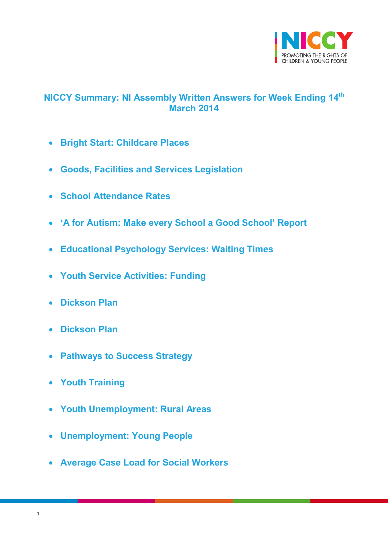

# <span id="page-0-0"></span>**NICCY Summary: NI Assembly Written Answers for Week Ending 14th March 2014**

- **[Bright Start: Childcare Places](#page-2-0)**
- **[Goods, Facilities and Services Legislation](#page-2-1)**
- **[School Attendance Rates](#page-3-0)**
- **['A for Autism: Make every School a Good School' Report](#page-4-0)**
- **[Educational Psychology Services: Waiting Times](#page-5-0)**
- **[Youth Service Activities: Funding](#page-5-1)**
- **[Dickson Plan](#page-7-0)**
- **[Dickson Plan](#page-8-0)**
- **[Pathways to Success Strategy](#page-8-1)**
- **[Youth Training](#page-9-0)**
- **[Youth Unemployment: Rural Areas](#page-10-0)**
- **[Unemployment: Young People](#page-12-0)**
- **[Average Case Load for Social Workers](#page-13-0)**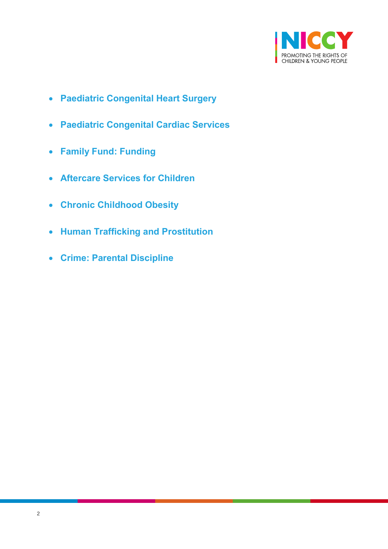

- **[Paediatric Congenital Heart Surgery](#page-14-0)**
- **[Paediatric Congenital Cardiac Services](#page-15-0)**
- **[Family Fund: Funding](#page-15-1)**
- **[Aftercare Services for Children](#page-16-0)**
- **[Chronic Childhood Obesity](#page-17-0)**
- **[Human Trafficking and Prostitution](#page-18-0)**
- **[Crime: Parental Discipline](#page-19-0)**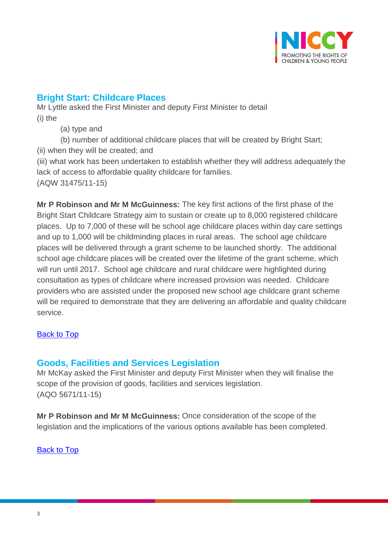

# <span id="page-2-0"></span>**Bright Start: Childcare Places**

Mr Lyttle asked the First Minister and deputy First Minister to detail (i) the

(a) type and

(b) number of additional childcare places that will be created by Bright Start;

(ii) when they will be created; and

(iii) what work has been undertaken to establish whether they will address adequately the lack of access to affordable quality childcare for families. (AQW 31475/11-15)

**Mr P Robinson and Mr M McGuinness:** The key first actions of the first phase of the Bright Start Childcare Strategy aim to sustain or create up to 8,000 registered childcare places. Up to 7,000 of these will be school age childcare places within day care settings and up to 1,000 will be childminding places in rural areas. The school age childcare places will be delivered through a grant scheme to be launched shortly. The additional school age childcare places will be created over the lifetime of the grant scheme, which will run until 2017. School age childcare and rural childcare were highlighted during consultation as types of childcare where increased provision was needed. Childcare providers who are assisted under the proposed new school age childcare grant scheme will be required to demonstrate that they are delivering an affordable and quality childcare service.

## [Back to Top](#page-0-0)

# <span id="page-2-1"></span>**Goods, Facilities and Services Legislation**

Mr McKay asked the First Minister and deputy First Minister when they will finalise the scope of the provision of goods, facilities and services legislation. (AQO 5671/11-15)

**Mr P Robinson and Mr M McGuinness:** Once consideration of the scope of the legislation and the implications of the various options available has been completed.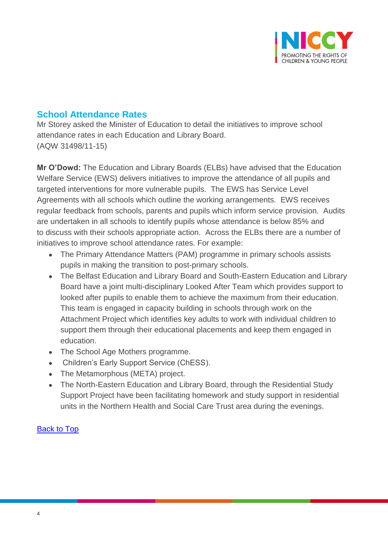

## <span id="page-3-0"></span>**School Attendance Rates**

Mr Storey asked the Minister of Education to detail the initiatives to improve school attendance rates in each Education and Library Board. (AQW 31498/11-15)

**Mr O'Dowd:** The Education and Library Boards (ELBs) have advised that the Education Welfare Service (EWS) delivers initiatives to improve the attendance of all pupils and targeted interventions for more vulnerable pupils. The EWS has Service Level Agreements with all schools which outline the working arrangements. EWS receives regular feedback from schools, parents and pupils which inform service provision. Audits are undertaken in all schools to identify pupils whose attendance is below 85% and to discuss with their schools appropriate action. Across the ELBs there are a number of initiatives to improve school attendance rates. For example:

- The Primary Attendance Matters (PAM) programme in primary schools assists pupils in making the transition to post-primary schools.
- The Belfast Education and Library Board and South-Eastern Education and Library Board have a joint multi-disciplinary Looked After Team which provides support to looked after pupils to enable them to achieve the maximum from their education. This team is engaged in capacity building in schools through work on the Attachment Project which identifies key adults to work with individual children to support them through their educational placements and keep them engaged in education.
- The School Age Mothers programme.
- Children's Early Support Service (ChESS).
- The Metamorphous (META) project.
- The North-Eastern Education and Library Board, through the Residential Study Support Project have been facilitating homework and study support in residential units in the Northern Health and Social Care Trust area during the evenings.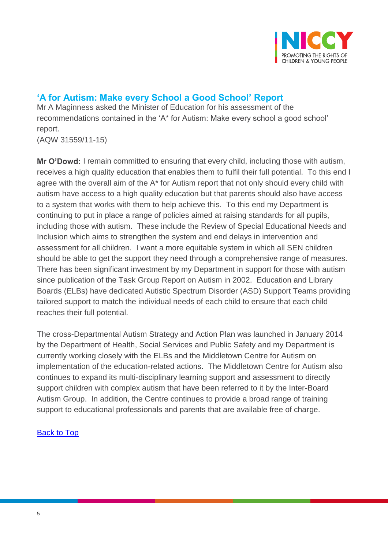

# <span id="page-4-0"></span>**'A for Autism: Make every School a Good School' Report**

Mr A Maginness asked the Minister of Education for his assessment of the recommendations contained in the 'A\* for Autism: Make every school a good school' report. (AQW 31559/11-15)

**Mr O'Dowd:** I remain committed to ensuring that every child, including those with autism, receives a high quality education that enables them to fulfil their full potential. To this end I agree with the overall aim of the A\* for Autism report that not only should every child with autism have access to a high quality education but that parents should also have access to a system that works with them to help achieve this. To this end my Department is continuing to put in place a range of policies aimed at raising standards for all pupils, including those with autism. These include the Review of Special Educational Needs and Inclusion which aims to strengthen the system and end delays in intervention and assessment for all children. I want a more equitable system in which all SEN children should be able to get the support they need through a comprehensive range of measures. There has been significant investment by my Department in support for those with autism since publication of the Task Group Report on Autism in 2002. Education and Library Boards (ELBs) have dedicated Autistic Spectrum Disorder (ASD) Support Teams providing tailored support to match the individual needs of each child to ensure that each child reaches their full potential.

The cross-Departmental Autism Strategy and Action Plan was launched in January 2014 by the Department of Health, Social Services and Public Safety and my Department is currently working closely with the ELBs and the Middletown Centre for Autism on implementation of the education-related actions. The Middletown Centre for Autism also continues to expand its multi-disciplinary learning support and assessment to directly support children with complex autism that have been referred to it by the Inter-Board Autism Group. In addition, the Centre continues to provide a broad range of training support to educational professionals and parents that are available free of charge.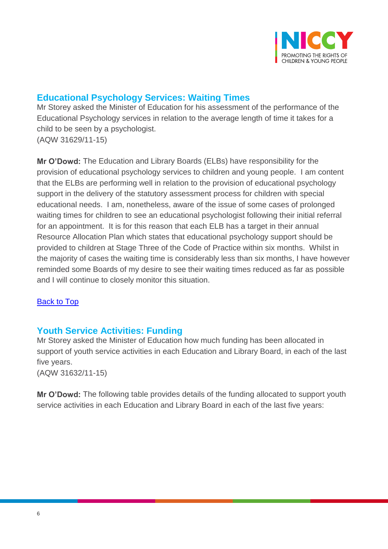

# <span id="page-5-0"></span>**Educational Psychology Services: Waiting Times**

Mr Storey asked the Minister of Education for his assessment of the performance of the Educational Psychology services in relation to the average length of time it takes for a child to be seen by a psychologist. (AQW 31629/11-15)

**Mr O'Dowd:** The Education and Library Boards (ELBs) have responsibility for the provision of educational psychology services to children and young people. I am content that the ELBs are performing well in relation to the provision of educational psychology support in the delivery of the statutory assessment process for children with special educational needs. I am, nonetheless, aware of the issue of some cases of prolonged waiting times for children to see an educational psychologist following their initial referral for an appointment. It is for this reason that each ELB has a target in their annual Resource Allocation Plan which states that educational psychology support should be provided to children at Stage Three of the Code of Practice within six months. Whilst in the majority of cases the waiting time is considerably less than six months, I have however reminded some Boards of my desire to see their waiting times reduced as far as possible and I will continue to closely monitor this situation.

## [Back to Top](#page-0-0)

# <span id="page-5-1"></span>**Youth Service Activities: Funding**

Mr Storey asked the Minister of Education how much funding has been allocated in support of youth service activities in each Education and Library Board, in each of the last five years. (AQW 31632/11-15)

**Mr O'Dowd:** The following table provides details of the funding allocated to support youth service activities in each Education and Library Board in each of the last five years: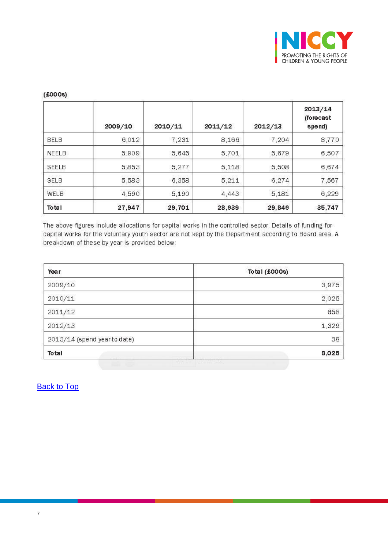

#### $2013/14$ (forecast  $2011/12$ 2009/10  $2010/11$ 2012/13 spend) **BELB** 6,012 7,231 8,166 7,204 8,770 NEELB 5,909 5,645 5,701 5,679 6,507 SEELB 5,853 5,277 5,118 5,508 6,674 SELB 5,583 5,211 6,274 6,358 7,567 WELB 4,590 5,190 4,443 5,181 6,229 Total 27,947 29,701 28,639 29,846 35,747

#### $(£000s)$

The above figures include allocations for capital works in the controlled sector. Details of funding for capital works for the voluntary youth sector are not kept by the Department according to Board area. A breakdown of these by year is provided below:

| Year                         | Total (£000s) |
|------------------------------|---------------|
| 2009/10                      | 3,975         |
| 2010/11                      | 2,025         |
| 2011/12                      | 658           |
| 2012/13                      | 1,329         |
| 2013/14 (spend year-to-date) | 38            |
| Total                        | 8,025         |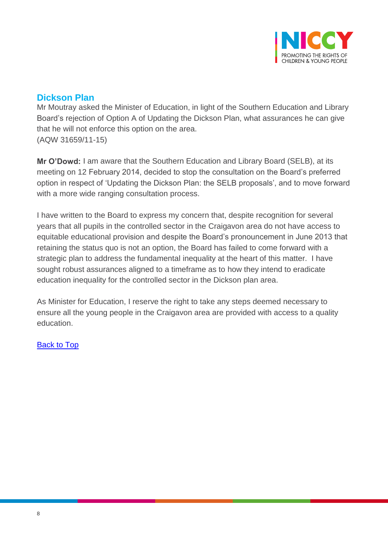

# <span id="page-7-0"></span>**Dickson Plan**

Mr Moutray asked the Minister of Education, in light of the Southern Education and Library Board's rejection of Option A of Updating the Dickson Plan, what assurances he can give that he will not enforce this option on the area. (AQW 31659/11-15)

**Mr O'Dowd:** I am aware that the Southern Education and Library Board (SELB), at its meeting on 12 February 2014, decided to stop the consultation on the Board's preferred option in respect of 'Updating the Dickson Plan: the SELB proposals', and to move forward with a more wide ranging consultation process.

I have written to the Board to express my concern that, despite recognition for several years that all pupils in the controlled sector in the Craigavon area do not have access to equitable educational provision and despite the Board's pronouncement in June 2013 that retaining the status quo is not an option, the Board has failed to come forward with a strategic plan to address the fundamental inequality at the heart of this matter. I have sought robust assurances aligned to a timeframe as to how they intend to eradicate education inequality for the controlled sector in the Dickson plan area.

As Minister for Education, I reserve the right to take any steps deemed necessary to ensure all the young people in the Craigavon area are provided with access to a quality education.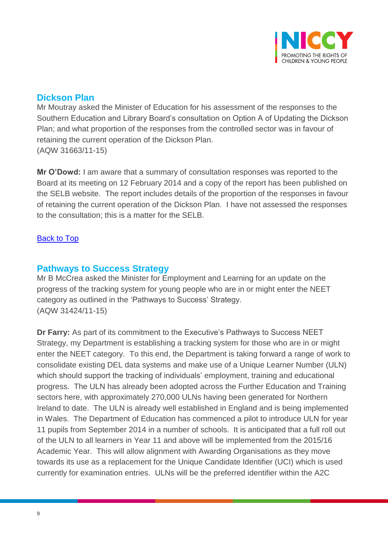

## <span id="page-8-0"></span>**Dickson Plan**

Mr Moutray asked the Minister of Education for his assessment of the responses to the Southern Education and Library Board's consultation on Option A of Updating the Dickson Plan; and what proportion of the responses from the controlled sector was in favour of retaining the current operation of the Dickson Plan. (AQW 31663/11-15)

**Mr O'Dowd:** I am aware that a summary of consultation responses was reported to the Board at its meeting on 12 February 2014 and a copy of the report has been published on the SELB website. The report includes details of the proportion of the responses in favour of retaining the current operation of the Dickson Plan. I have not assessed the responses to the consultation; this is a matter for the SELB.

## **[Back to Top](#page-0-0)**

## <span id="page-8-1"></span>**Pathways to Success Strategy**

Mr B McCrea asked the Minister for Employment and Learning for an update on the progress of the tracking system for young people who are in or might enter the NEET category as outlined in the 'Pathways to Success' Strategy. (AQW 31424/11-15)

**Dr Farry:** As part of its commitment to the Executive's Pathways to Success NEET Strategy, my Department is establishing a tracking system for those who are in or might enter the NEET category. To this end, the Department is taking forward a range of work to consolidate existing DEL data systems and make use of a Unique Learner Number (ULN) which should support the tracking of individuals' employment, training and educational progress. The ULN has already been adopted across the Further Education and Training sectors here, with approximately 270,000 ULNs having been generated for Northern Ireland to date. The ULN is already well established in England and is being implemented in Wales. The Department of Education has commenced a pilot to introduce ULN for year 11 pupils from September 2014 in a number of schools. It is anticipated that a full roll out of the ULN to all learners in Year 11 and above will be implemented from the 2015/16 Academic Year. This will allow alignment with Awarding Organisations as they move towards its use as a replacement for the Unique Candidate Identifier (UCI) which is used currently for examination entries. ULNs will be the preferred identifier within the A2C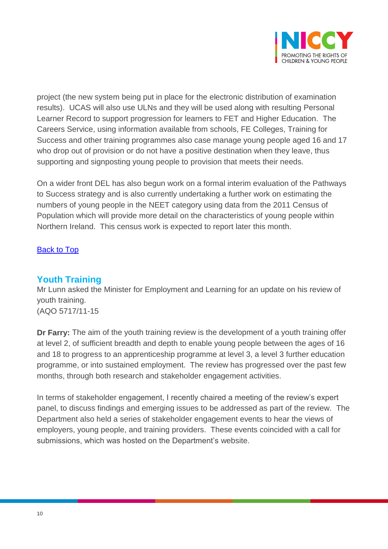

project (the new system being put in place for the electronic distribution of examination results). UCAS will also use ULNs and they will be used along with resulting Personal Learner Record to support progression for learners to FET and Higher Education. The Careers Service, using information available from schools, FE Colleges, Training for Success and other training programmes also case manage young people aged 16 and 17 who drop out of provision or do not have a positive destination when they leave, thus supporting and signposting young people to provision that meets their needs.

On a wider front DEL has also begun work on a formal interim evaluation of the Pathways to Success strategy and is also currently undertaking a further work on estimating the numbers of young people in the NEET category using data from the 2011 Census of Population which will provide more detail on the characteristics of young people within Northern Ireland. This census work is expected to report later this month.

#### [Back to Top](#page-0-0)

## <span id="page-9-0"></span>**Youth Training**

Mr Lunn asked the Minister for Employment and Learning for an update on his review of youth training. (AQO 5717/11-15

**Dr Farry:** The aim of the youth training review is the development of a youth training offer at level 2, of sufficient breadth and depth to enable young people between the ages of 16 and 18 to progress to an apprenticeship programme at level 3, a level 3 further education programme, or into sustained employment. The review has progressed over the past few months, through both research and stakeholder engagement activities.

In terms of stakeholder engagement, I recently chaired a meeting of the review's expert panel, to discuss findings and emerging issues to be addressed as part of the review. The Department also held a series of stakeholder engagement events to hear the views of employers, young people, and training providers. These events coincided with a call for submissions, which was hosted on the Department's website.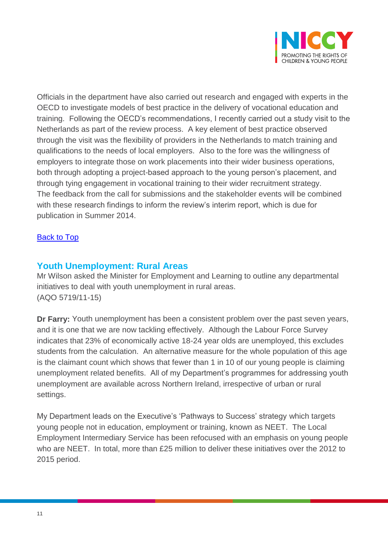

Officials in the department have also carried out research and engaged with experts in the OECD to investigate models of best practice in the delivery of vocational education and training. Following the OECD's recommendations, I recently carried out a study visit to the Netherlands as part of the review process. A key element of best practice observed through the visit was the flexibility of providers in the Netherlands to match training and qualifications to the needs of local employers. Also to the fore was the willingness of employers to integrate those on work placements into their wider business operations, both through adopting a project-based approach to the young person's placement, and through tying engagement in vocational training to their wider recruitment strategy. The feedback from the call for submissions and the stakeholder events will be combined with these research findings to inform the review's interim report, which is due for publication in Summer 2014.

## [Back to Top](#page-0-0)

## <span id="page-10-0"></span>**Youth Unemployment: Rural Areas**

Mr Wilson asked the Minister for Employment and Learning to outline any departmental initiatives to deal with youth unemployment in rural areas. (AQO 5719/11-15)

**Dr Farry:** Youth unemployment has been a consistent problem over the past seven years, and it is one that we are now tackling effectively. Although the Labour Force Survey indicates that 23% of economically active 18-24 year olds are unemployed, this excludes students from the calculation. An alternative measure for the whole population of this age is the claimant count which shows that fewer than 1 in 10 of our young people is claiming unemployment related benefits. All of my Department's programmes for addressing youth unemployment are available across Northern Ireland, irrespective of urban or rural settings.

My Department leads on the Executive's 'Pathways to Success' strategy which targets young people not in education, employment or training, known as NEET. The Local Employment Intermediary Service has been refocused with an emphasis on young people who are NEET. In total, more than £25 million to deliver these initiatives over the 2012 to 2015 period.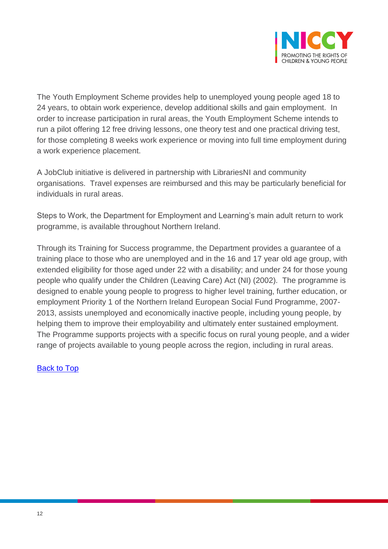

The Youth Employment Scheme provides help to unemployed young people aged 18 to 24 years, to obtain work experience, develop additional skills and gain employment. In order to increase participation in rural areas, the Youth Employment Scheme intends to run a pilot offering 12 free driving lessons, one theory test and one practical driving test, for those completing 8 weeks work experience or moving into full time employment during a work experience placement.

A JobClub initiative is delivered in partnership with LibrariesNI and community organisations. Travel expenses are reimbursed and this may be particularly beneficial for individuals in rural areas.

Steps to Work, the Department for Employment and Learning's main adult return to work programme, is available throughout Northern Ireland.

Through its Training for Success programme, the Department provides a guarantee of a training place to those who are unemployed and in the 16 and 17 year old age group, with extended eligibility for those aged under 22 with a disability; and under 24 for those young people who qualify under the Children (Leaving Care) Act (NI) (2002). The programme is designed to enable young people to progress to higher level training, further education, or employment Priority 1 of the Northern Ireland European Social Fund Programme, 2007- 2013, assists unemployed and economically inactive people, including young people, by helping them to improve their employability and ultimately enter sustained employment. The Programme supports projects with a specific focus on rural young people, and a wider range of projects available to young people across the region, including in rural areas.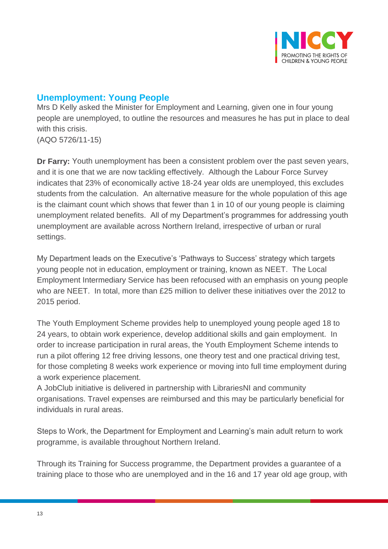

# <span id="page-12-0"></span>**Unemployment: Young People**

Mrs D Kelly asked the Minister for Employment and Learning, given one in four young people are unemployed, to outline the resources and measures he has put in place to deal with this crisis.

(AQO 5726/11-15)

**Dr Farry:** Youth unemployment has been a consistent problem over the past seven years, and it is one that we are now tackling effectively. Although the Labour Force Survey indicates that 23% of economically active 18-24 year olds are unemployed, this excludes students from the calculation. An alternative measure for the whole population of this age is the claimant count which shows that fewer than 1 in 10 of our young people is claiming unemployment related benefits. All of my Department's programmes for addressing youth unemployment are available across Northern Ireland, irrespective of urban or rural settings.

My Department leads on the Executive's 'Pathways to Success' strategy which targets young people not in education, employment or training, known as NEET. The Local Employment Intermediary Service has been refocused with an emphasis on young people who are NEET. In total, more than £25 million to deliver these initiatives over the 2012 to 2015 period.

The Youth Employment Scheme provides help to unemployed young people aged 18 to 24 years, to obtain work experience, develop additional skills and gain employment. In order to increase participation in rural areas, the Youth Employment Scheme intends to run a pilot offering 12 free driving lessons, one theory test and one practical driving test, for those completing 8 weeks work experience or moving into full time employment during a work experience placement.

A JobClub initiative is delivered in partnership with LibrariesNI and community organisations. Travel expenses are reimbursed and this may be particularly beneficial for individuals in rural areas.

Steps to Work, the Department for Employment and Learning's main adult return to work programme, is available throughout Northern Ireland.

Through its Training for Success programme, the Department provides a guarantee of a training place to those who are unemployed and in the 16 and 17 year old age group, with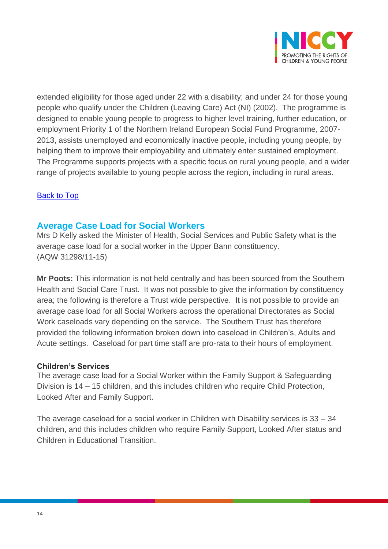

extended eligibility for those aged under 22 with a disability; and under 24 for those young people who qualify under the Children (Leaving Care) Act (NI) (2002). The programme is designed to enable young people to progress to higher level training, further education, or employment Priority 1 of the Northern Ireland European Social Fund Programme, 2007- 2013, assists unemployed and economically inactive people, including young people, by helping them to improve their employability and ultimately enter sustained employment. The Programme supports projects with a specific focus on rural young people, and a wider range of projects available to young people across the region, including in rural areas.

#### [Back to Top](#page-0-0)

## <span id="page-13-0"></span>**Average Case Load for Social Workers**

Mrs D Kelly asked the Minister of Health, Social Services and Public Safety what is the average case load for a social worker in the Upper Bann constituency. (AQW 31298/11-15)

**Mr Poots:** This information is not held centrally and has been sourced from the Southern Health and Social Care Trust. It was not possible to give the information by constituency area; the following is therefore a Trust wide perspective. It is not possible to provide an average case load for all Social Workers across the operational Directorates as Social Work caseloads vary depending on the service. The Southern Trust has therefore provided the following information broken down into caseload in Children's, Adults and Acute settings. Caseload for part time staff are pro-rata to their hours of employment.

#### **Children's Services**

The average case load for a Social Worker within the Family Support & Safeguarding Division is 14 – 15 children, and this includes children who require Child Protection, Looked After and Family Support.

The average caseload for a social worker in Children with Disability services is 33 – 34 children, and this includes children who require Family Support, Looked After status and Children in Educational Transition.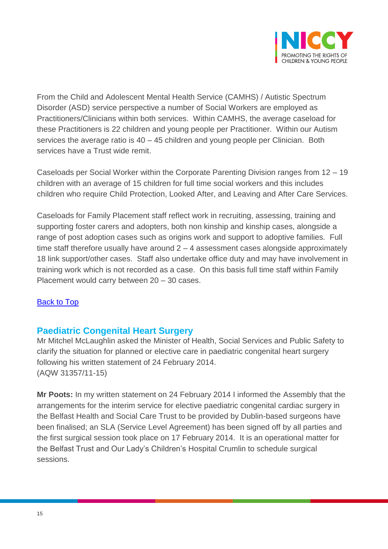

From the Child and Adolescent Mental Health Service (CAMHS) / Autistic Spectrum Disorder (ASD) service perspective a number of Social Workers are employed as Practitioners/Clinicians within both services. Within CAMHS, the average caseload for these Practitioners is 22 children and young people per Practitioner. Within our Autism services the average ratio is 40 – 45 children and young people per Clinician. Both services have a Trust wide remit.

Caseloads per Social Worker within the Corporate Parenting Division ranges from 12 – 19 children with an average of 15 children for full time social workers and this includes children who require Child Protection, Looked After, and Leaving and After Care Services.

Caseloads for Family Placement staff reflect work in recruiting, assessing, training and supporting foster carers and adopters, both non kinship and kinship cases, alongside a range of post adoption cases such as origins work and support to adoptive families. Full time staff therefore usually have around 2 – 4 assessment cases alongside approximately 18 link support/other cases. Staff also undertake office duty and may have involvement in training work which is not recorded as a case. On this basis full time staff within Family Placement would carry between 20 – 30 cases.

## [Back to Top](#page-0-0)

## <span id="page-14-0"></span>**Paediatric Congenital Heart Surgery**

Mr Mitchel McLaughlin asked the Minister of Health, Social Services and Public Safety to clarify the situation for planned or elective care in paediatric congenital heart surgery following his written statement of 24 February 2014. (AQW 31357/11-15)

**Mr Poots:** In my written statement on 24 February 2014 I informed the Assembly that the arrangements for the interim service for elective paediatric congenital cardiac surgery in the Belfast Health and Social Care Trust to be provided by Dublin-based surgeons have been finalised; an SLA (Service Level Agreement) has been signed off by all parties and the first surgical session took place on 17 February 2014. It is an operational matter for the Belfast Trust and Our Lady's Children's Hospital Crumlin to schedule surgical sessions.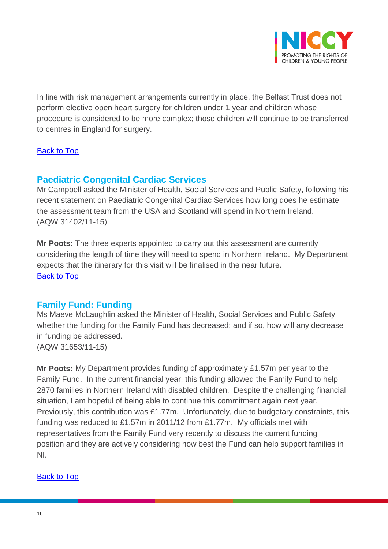

In line with risk management arrangements currently in place, the Belfast Trust does not perform elective open heart surgery for children under 1 year and children whose procedure is considered to be more complex; those children will continue to be transferred to centres in England for surgery.

## [Back to Top](#page-0-0)

# <span id="page-15-0"></span>**Paediatric Congenital Cardiac Services**

Mr Campbell asked the Minister of Health, Social Services and Public Safety, following his recent statement on Paediatric Congenital Cardiac Services how long does he estimate the assessment team from the USA and Scotland will spend in Northern Ireland. (AQW 31402/11-15)

**Mr Poots:** The three experts appointed to carry out this assessment are currently considering the length of time they will need to spend in Northern Ireland. My Department expects that the itinerary for this visit will be finalised in the near future. [Back to Top](#page-0-0)

# <span id="page-15-1"></span>**Family Fund: Funding**

Ms Maeve McLaughlin asked the Minister of Health, Social Services and Public Safety whether the funding for the Family Fund has decreased; and if so, how will any decrease in funding be addressed. (AQW 31653/11-15)

**Mr Poots:** My Department provides funding of approximately £1.57m per year to the Family Fund. In the current financial year, this funding allowed the Family Fund to help 2870 families in Northern Ireland with disabled children. Despite the challenging financial situation, I am hopeful of being able to continue this commitment again next year. Previously, this contribution was £1.77m. Unfortunately, due to budgetary constraints, this funding was reduced to £1.57m in 2011/12 from £1.77m. My officials met with representatives from the Family Fund very recently to discuss the current funding position and they are actively considering how best the Fund can help support families in NI.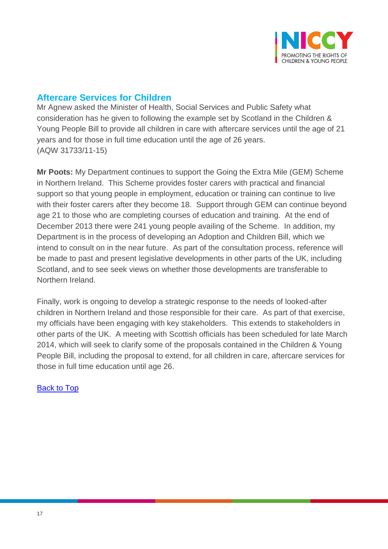

# <span id="page-16-0"></span>**Aftercare Services for Children**

Mr Agnew asked the Minister of Health, Social Services and Public Safety what consideration has he given to following the example set by Scotland in the Children & Young People Bill to provide all children in care with aftercare services until the age of 21 years and for those in full time education until the age of 26 years. (AQW 31733/11-15)

**Mr Poots:** My Department continues to support the Going the Extra Mile (GEM) Scheme in Northern Ireland. This Scheme provides foster carers with practical and financial support so that young people in employment, education or training can continue to live with their foster carers after they become 18. Support through GEM can continue beyond age 21 to those who are completing courses of education and training. At the end of December 2013 there were 241 young people availing of the Scheme. In addition, my Department is in the process of developing an Adoption and Children Bill, which we intend to consult on in the near future. As part of the consultation process, reference will be made to past and present legislative developments in other parts of the UK, including Scotland, and to see seek views on whether those developments are transferable to Northern Ireland.

Finally, work is ongoing to develop a strategic response to the needs of looked-after children in Northern Ireland and those responsible for their care. As part of that exercise, my officials have been engaging with key stakeholders. This extends to stakeholders in other parts of the UK. A meeting with Scottish officials has been scheduled for late March 2014, which will seek to clarify some of the proposals contained in the Children & Young People Bill, including the proposal to extend, for all children in care, aftercare services for those in full time education until age 26.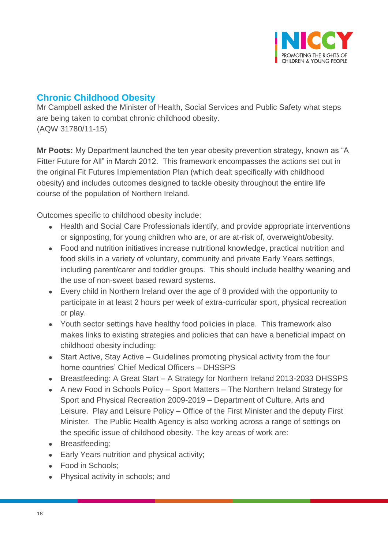

# <span id="page-17-0"></span>**Chronic Childhood Obesity**

Mr Campbell asked the Minister of Health, Social Services and Public Safety what steps are being taken to combat chronic childhood obesity. (AQW 31780/11-15)

**Mr Poots:** My Department launched the ten year obesity prevention strategy, known as "A Fitter Future for All" in March 2012. This framework encompasses the actions set out in the original Fit Futures Implementation Plan (which dealt specifically with childhood obesity) and includes outcomes designed to tackle obesity throughout the entire life course of the population of Northern Ireland.

Outcomes specific to childhood obesity include:

- Health and Social Care Professionals identify, and provide appropriate interventions or signposting, for young children who are, or are at-risk of, overweight/obesity.
- Food and nutrition initiatives increase nutritional knowledge, practical nutrition and food skills in a variety of voluntary, community and private Early Years settings, including parent/carer and toddler groups. This should include healthy weaning and the use of non-sweet based reward systems.
- Every child in Northern Ireland over the age of 8 provided with the opportunity to participate in at least 2 hours per week of extra-curricular sport, physical recreation or play.
- Youth sector settings have healthy food policies in place. This framework also makes links to existing strategies and policies that can have a beneficial impact on childhood obesity including:
- Start Active, Stay Active Guidelines promoting physical activity from the four home countries' Chief Medical Officers – DHSSPS
- Breastfeeding: A Great Start A Strategy for Northern Ireland 2013-2033 DHSSPS
- A new Food in Schools Policy Sport Matters The Northern Ireland Strategy for Sport and Physical Recreation 2009-2019 – Department of Culture, Arts and Leisure. Play and Leisure Policy – Office of the First Minister and the deputy First Minister. The Public Health Agency is also working across a range of settings on the specific issue of childhood obesity. The key areas of work are:
- Breastfeeding;
- **Early Years nutrition and physical activity;**
- Food in Schools:
- Physical activity in schools; and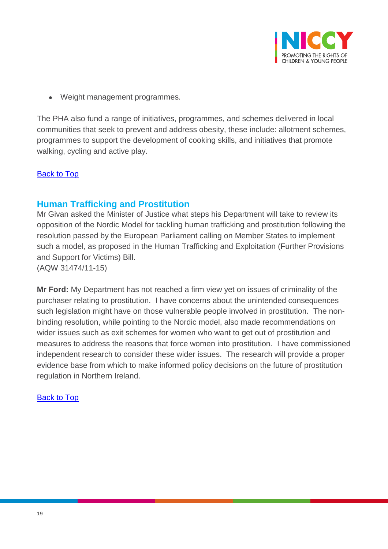

Weight management programmes.

The PHA also fund a range of initiatives, programmes, and schemes delivered in local communities that seek to prevent and address obesity, these include: allotment schemes, programmes to support the development of cooking skills, and initiatives that promote walking, cycling and active play.

## **[Back to Top](#page-0-0)**

## <span id="page-18-0"></span>**Human Trafficking and Prostitution**

Mr Givan asked the Minister of Justice what steps his Department will take to review its opposition of the Nordic Model for tackling human trafficking and prostitution following the resolution passed by the European Parliament calling on Member States to implement such a model, as proposed in the Human Trafficking and Exploitation (Further Provisions and Support for Victims) Bill. (AQW 31474/11-15)

**Mr Ford:** My Department has not reached a firm view yet on issues of criminality of the purchaser relating to prostitution. I have concerns about the unintended consequences such legislation might have on those vulnerable people involved in prostitution. The nonbinding resolution, while pointing to the Nordic model, also made recommendations on wider issues such as exit schemes for women who want to get out of prostitution and measures to address the reasons that force women into prostitution. I have commissioned independent research to consider these wider issues. The research will provide a proper evidence base from which to make informed policy decisions on the future of prostitution regulation in Northern Ireland.